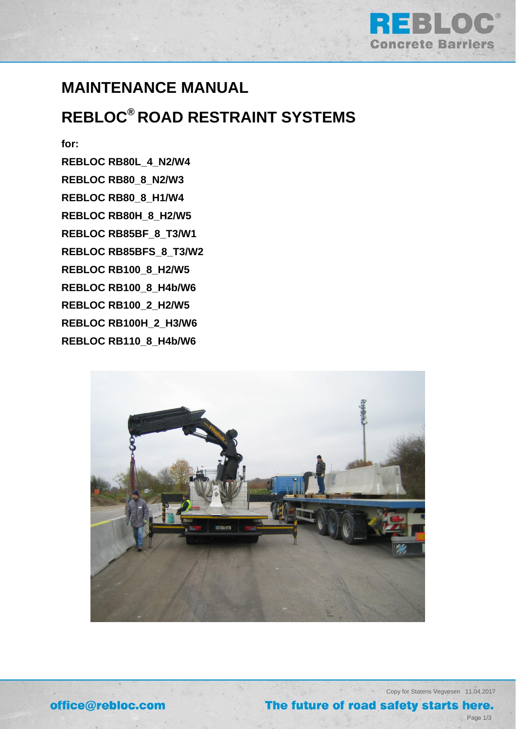

## **MAINTENANCE MANUAL**

# **REBLOC® ROAD RESTRAINT SYSTEMS**

**for:** 

**REBLOC RB80L\_4\_N2/W4 REBLOC RB80\_8\_N2/W3 REBLOC RB80\_8\_H1/W4 REBLOC RB80H\_8\_H2/W5 REBLOC RB85BF\_8\_T3/W1 REBLOC RB85BFS\_8\_T3/W2 REBLOC RB100\_8\_H2/W5 REBLOC RB100\_8\_H4b/W6 REBLOC RB100\_2\_H2/W5 REBLOC RB100H\_2\_H3/W6 REBLOC RB110\_8\_H4b/W6** 



office@rebloc.com

Copy for Statens Vegvesen 11.04.2017

### The future of road safety starts here.

Page 1/3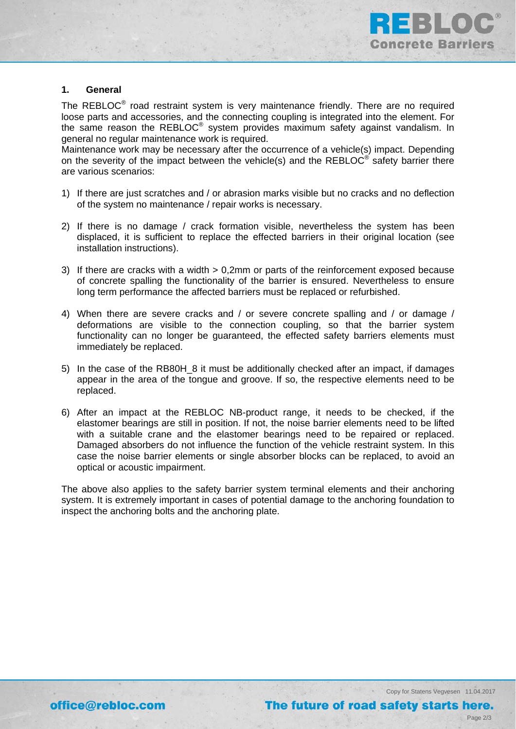

### **1. General**

The REBLOC<sup>®</sup> road restraint system is very maintenance friendly. There are no required loose parts and accessories, and the connecting coupling is integrated into the element. For the same reason the REBLOC® system provides maximum safety against vandalism. In general no regular maintenance work is required.

Maintenance work may be necessary after the occurrence of a vehicle(s) impact. Depending on the severity of the impact between the vehicle(s) and the REBLOC<sup>®</sup> safety barrier there are various scenarios:

- 1) If there are just scratches and / or abrasion marks visible but no cracks and no deflection of the system no maintenance / repair works is necessary.
- 2) If there is no damage / crack formation visible, nevertheless the system has been displaced, it is sufficient to replace the effected barriers in their original location (see installation instructions).
- 3) If there are cracks with a width > 0,2mm or parts of the reinforcement exposed because of concrete spalling the functionality of the barrier is ensured. Nevertheless to ensure long term performance the affected barriers must be replaced or refurbished.
- 4) When there are severe cracks and / or severe concrete spalling and / or damage / deformations are visible to the connection coupling, so that the barrier system functionality can no longer be guaranteed, the effected safety barriers elements must immediately be replaced.
- 5) In the case of the RB80H 8 it must be additionally checked after an impact, if damages appear in the area of the tongue and groove. If so, the respective elements need to be replaced.
- 6) After an impact at the REBLOC NB-product range, it needs to be checked, if the elastomer bearings are still in position. If not, the noise barrier elements need to be lifted with a suitable crane and the elastomer bearings need to be repaired or replaced. Damaged absorbers do not influence the function of the vehicle restraint system. In this case the noise barrier elements or single absorber blocks can be replaced, to avoid an optical or acoustic impairment.

The above also applies to the safety barrier system terminal elements and their anchoring system. It is extremely important in cases of potential damage to the anchoring foundation to inspect the anchoring bolts and the anchoring plate.

Copy for Statens Vegvesen 11.04.2017

Page 2/3